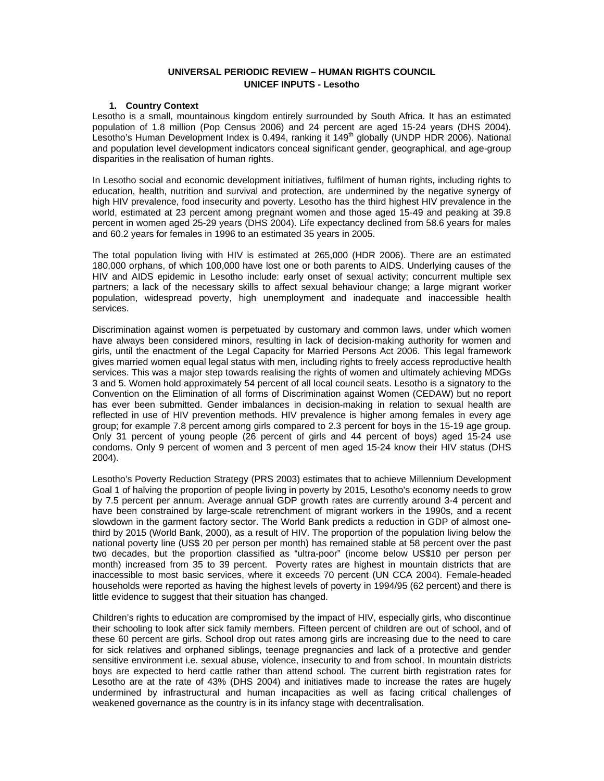## **UNIVERSAL PERIODIC REVIEW – HUMAN RIGHTS COUNCIL UNICEF INPUTS - Lesotho**

#### **1. Country Context**

Lesotho is a small, mountainous kingdom entirely surrounded by South Africa. It has an estimated population of 1.8 million (Pop Census 2006) and 24 percent are aged 15-24 years (DHS 2004). Lesotho's Human Development Index is 0.494, ranking it  $149<sup>th</sup>$  globally (UNDP HDR 2006). National and population level development indicators conceal significant gender, geographical, and age-group disparities in the realisation of human rights.

In Lesotho social and economic development initiatives, fulfilment of human rights, including rights to education, health, nutrition and survival and protection, are undermined by the negative synergy of high HIV prevalence, food insecurity and poverty. Lesotho has the third highest HIV prevalence in the world, estimated at 23 percent among pregnant women and those aged 15-49 and peaking at 39.8 percent in women aged 25-29 years (DHS 2004). Life expectancy declined from 58.6 years for males and 60.2 years for females in 1996 to an estimated 35 years in 2005.

The total population living with HIV is estimated at 265,000 (HDR 2006). There are an estimated 180,000 orphans, of which 100,000 have lost one or both parents to AIDS. Underlying causes of the HIV and AIDS epidemic in Lesotho include: early onset of sexual activity; concurrent multiple sex partners; a lack of the necessary skills to affect sexual behaviour change; a large migrant worker population, widespread poverty, high unemployment and inadequate and inaccessible health services.

Discrimination against women is perpetuated by customary and common laws, under which women have always been considered minors, resulting in lack of decision-making authority for women and girls, until the enactment of the Legal Capacity for Married Persons Act 2006. This legal framework gives married women equal legal status with men, including rights to freely access reproductive health services. This was a major step towards realising the rights of women and ultimately achieving MDGs 3 and 5. Women hold approximately 54 percent of all local council seats. Lesotho is a signatory to the Convention on the Elimination of all forms of Discrimination against Women (CEDAW) but no report has ever been submitted. Gender imbalances in decision-making in relation to sexual health are reflected in use of HIV prevention methods. HIV prevalence is higher among females in every age group; for example 7.8 percent among girls compared to 2.3 percent for boys in the 15-19 age group. Only 31 percent of young people (26 percent of girls and 44 percent of boys) aged 15-24 use condoms. Only 9 percent of women and 3 percent of men aged 15-24 know their HIV status (DHS 2004).

Lesotho's Poverty Reduction Strategy (PRS 2003) estimates that to achieve Millennium Development Goal 1 of halving the proportion of people living in poverty by 2015, Lesotho's economy needs to grow by 7.5 percent per annum. Average annual GDP growth rates are currently around 3-4 percent and have been constrained by large-scale retrenchment of migrant workers in the 1990s, and a recent slowdown in the garment factory sector. The World Bank predicts a reduction in GDP of almost onethird by 2015 (World Bank, 2000), as a result of HIV. The proportion of the population living below the national poverty line (US\$ 20 per person per month) has remained stable at 58 percent over the past two decades, but the proportion classified as "ultra-poor" (income below US\$10 per person per month) increased from 35 to 39 percent. Poverty rates are highest in mountain districts that are inaccessible to most basic services, where it exceeds 70 percent (UN CCA 2004). Female-headed households were reported as having the highest levels of poverty in 1994/95 (62 percent) and there is little evidence to suggest that their situation has changed.

Children's rights to education are compromised by the impact of HIV, especially girls, who discontinue their schooling to look after sick family members. Fifteen percent of children are out of school, and of these 60 percent are girls. School drop out rates among girls are increasing due to the need to care for sick relatives and orphaned siblings, teenage pregnancies and lack of a protective and gender sensitive environment i.e. sexual abuse, violence, insecurity to and from school. In mountain districts boys are expected to herd cattle rather than attend school. The current birth registration rates for Lesotho are at the rate of 43% (DHS 2004) and initiatives made to increase the rates are hugely undermined by infrastructural and human incapacities as well as facing critical challenges of weakened governance as the country is in its infancy stage with decentralisation.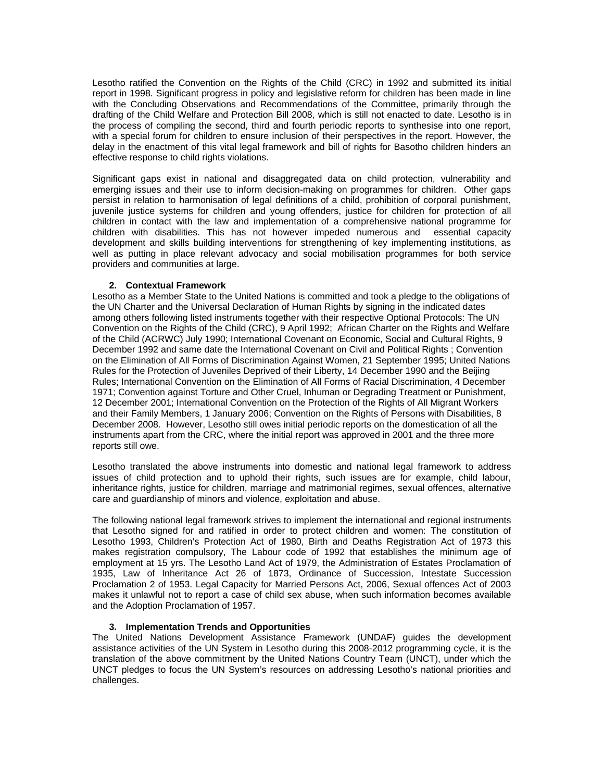Lesotho ratified the Convention on the Rights of the Child (CRC) in 1992 and submitted its initial report in 1998. Significant progress in policy and legislative reform for children has been made in line with the Concluding Observations and Recommendations of the Committee, primarily through the drafting of the Child Welfare and Protection Bill 2008, which is still not enacted to date. Lesotho is in the process of compiling the second, third and fourth periodic reports to synthesise into one report, with a special forum for children to ensure inclusion of their perspectives in the report. However, the delay in the enactment of this vital legal framework and bill of rights for Basotho children hinders an effective response to child rights violations.

Significant gaps exist in national and disaggregated data on child protection, vulnerability and emerging issues and their use to inform decision-making on programmes for children. Other gaps persist in relation to harmonisation of legal definitions of a child, prohibition of corporal punishment, juvenile justice systems for children and young offenders, justice for children for protection of all children in contact with the law and implementation of a comprehensive national programme for children with disabilities. This has not however impeded numerous and essential capacity development and skills building interventions for strengthening of key implementing institutions, as well as putting in place relevant advocacy and social mobilisation programmes for both service providers and communities at large.

## **2. Contextual Framework**

Lesotho as a Member State to the United Nations is committed and took a pledge to the obligations of the UN Charter and the Universal Declaration of Human Rights by signing in the indicated dates among others following listed instruments together with their respective Optional Protocols: The UN Convention on the Rights of the Child (CRC), 9 April 1992; African Charter on the Rights and Welfare of the Child (ACRWC) July 1990; International Covenant on Economic, Social and Cultural Rights, 9 December 1992 and same date the International Covenant on Civil and Political Rights ; Convention on the Elimination of All Forms of Discrimination Against Women, 21 September 1995; United Nations Rules for the Protection of Juveniles Deprived of their Liberty, 14 December 1990 and the Beijing Rules; International Convention on the Elimination of All Forms of Racial Discrimination, 4 December 1971; Convention against Torture and Other Cruel, Inhuman or Degrading Treatment or Punishment, 12 December 2001; International Convention on the Protection of the Rights of All Migrant Workers and their Family Members, 1 January 2006; Convention on the Rights of Persons with Disabilities, 8 December 2008. However, Lesotho still owes initial periodic reports on the domestication of all the instruments apart from the CRC, where the initial report was approved in 2001 and the three more reports still owe.

Lesotho translated the above instruments into domestic and national legal framework to address issues of child protection and to uphold their rights, such issues are for example, child labour, inheritance rights, justice for children, marriage and matrimonial regimes, sexual offences, alternative care and guardianship of minors and violence, exploitation and abuse.

The following national legal framework strives to implement the international and regional instruments that Lesotho signed for and ratified in order to protect children and women: The constitution of Lesotho 1993, Children's Protection Act of 1980, Birth and Deaths Registration Act of 1973 this makes registration compulsory, The Labour code of 1992 that establishes the minimum age of employment at 15 yrs. The Lesotho Land Act of 1979, the Administration of Estates Proclamation of 1935, Law of Inheritance Act 26 of 1873, Ordinance of Succession, Intestate Succession Proclamation 2 of 1953. Legal Capacity for Married Persons Act, 2006, Sexual offences Act of 2003 makes it unlawful not to report a case of child sex abuse, when such information becomes available and the Adoption Proclamation of 1957.

# **3. Implementation Trends and Opportunities**

The United Nations Development Assistance Framework (UNDAF) guides the development assistance activities of the UN System in Lesotho during this 2008-2012 programming cycle, it is the translation of the above commitment by the United Nations Country Team (UNCT), under which the UNCT pledges to focus the UN System's resources on addressing Lesotho's national priorities and challenges.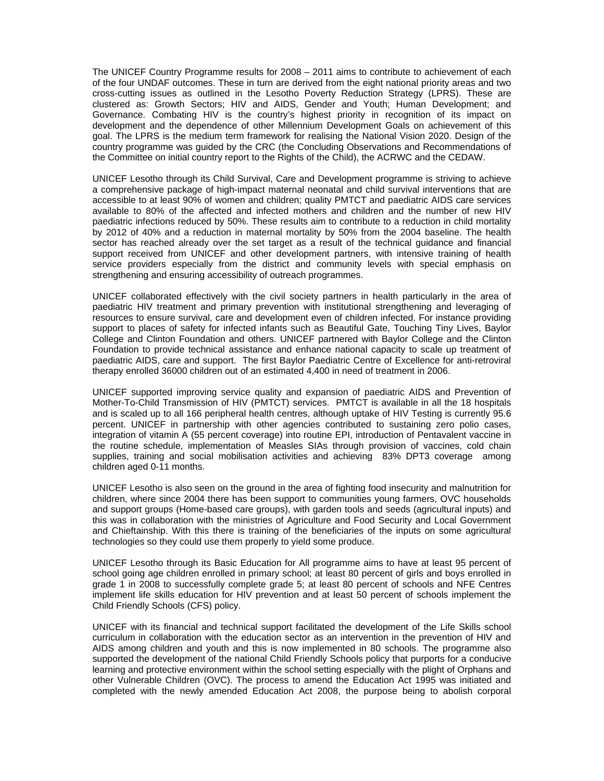The UNICEF Country Programme results for 2008 – 2011 aims to contribute to achievement of each of the four UNDAF outcomes. These in turn are derived from the eight national priority areas and two cross-cutting issues as outlined in the Lesotho Poverty Reduction Strategy (LPRS). These are clustered as: Growth Sectors; HIV and AIDS, Gender and Youth; Human Development; and Governance. Combating HIV is the country's highest priority in recognition of its impact on development and the dependence of other Millennium Development Goals on achievement of this goal. The LPRS is the medium term framework for realising the National Vision 2020. Design of the country programme was guided by the CRC (the Concluding Observations and Recommendations of the Committee on initial country report to the Rights of the Child), the ACRWC and the CEDAW.

UNICEF Lesotho through its Child Survival, Care and Development programme is striving to achieve a comprehensive package of high-impact maternal neonatal and child survival interventions that are accessible to at least 90% of women and children; quality PMTCT and paediatric AIDS care services available to 80% of the affected and infected mothers and children and the number of new HIV paediatric infections reduced by 50%. These results aim to contribute to a reduction in child mortality by 2012 of 40% and a reduction in maternal mortality by 50% from the 2004 baseline. The health sector has reached already over the set target as a result of the technical guidance and financial support received from UNICEF and other development partners, with intensive training of health service providers especially from the district and community levels with special emphasis on strengthening and ensuring accessibility of outreach programmes.

UNICEF collaborated effectively with the civil society partners in health particularly in the area of paediatric HIV treatment and primary prevention with institutional strengthening and leveraging of resources to ensure survival, care and development even of children infected. For instance providing support to places of safety for infected infants such as Beautiful Gate, Touching Tiny Lives, Baylor College and Clinton Foundation and others. UNICEF partnered with Baylor College and the Clinton Foundation to provide technical assistance and enhance national capacity to scale up treatment of paediatric AIDS, care and support. The first Baylor Paediatric Centre of Excellence for anti-retroviral therapy enrolled 36000 children out of an estimated 4,400 in need of treatment in 2006.

UNICEF supported improving service quality and expansion of paediatric AIDS and Prevention of Mother-To-Child Transmission of HIV (PMTCT) services. PMTCT is available in all the 18 hospitals and is scaled up to all 166 peripheral health centres, although uptake of HIV Testing is currently 95.6 percent. UNICEF in partnership with other agencies contributed to sustaining zero polio cases, integration of vitamin A (55 percent coverage) into routine EPI, introduction of Pentavalent vaccine in the routine schedule, implementation of Measles SIAs through provision of vaccines, cold chain supplies, training and social mobilisation activities and achieving 83% DPT3 coverage among children aged 0-11 months.

UNICEF Lesotho is also seen on the ground in the area of fighting food insecurity and malnutrition for children, where since 2004 there has been support to communities young farmers, OVC households and support groups (Home-based care groups), with garden tools and seeds (agricultural inputs) and this was in collaboration with the ministries of Agriculture and Food Security and Local Government and Chieftainship. With this there is training of the beneficiaries of the inputs on some agricultural technologies so they could use them properly to yield some produce.

UNICEF Lesotho through its Basic Education for All programme aims to have at least 95 percent of school going age children enrolled in primary school; at least 80 percent of girls and boys enrolled in grade 1 in 2008 to successfully complete grade 5; at least 80 percent of schools and NFE Centres implement life skills education for HIV prevention and at least 50 percent of schools implement the Child Friendly Schools (CFS) policy.

UNICEF with its financial and technical support facilitated the development of the Life Skills school curriculum in collaboration with the education sector as an intervention in the prevention of HIV and AIDS among children and youth and this is now implemented in 80 schools. The programme also supported the development of the national Child Friendly Schools policy that purports for a conducive learning and protective environment within the school setting especially with the plight of Orphans and other Vulnerable Children (OVC). The process to amend the Education Act 1995 was initiated and completed with the newly amended Education Act 2008, the purpose being to abolish corporal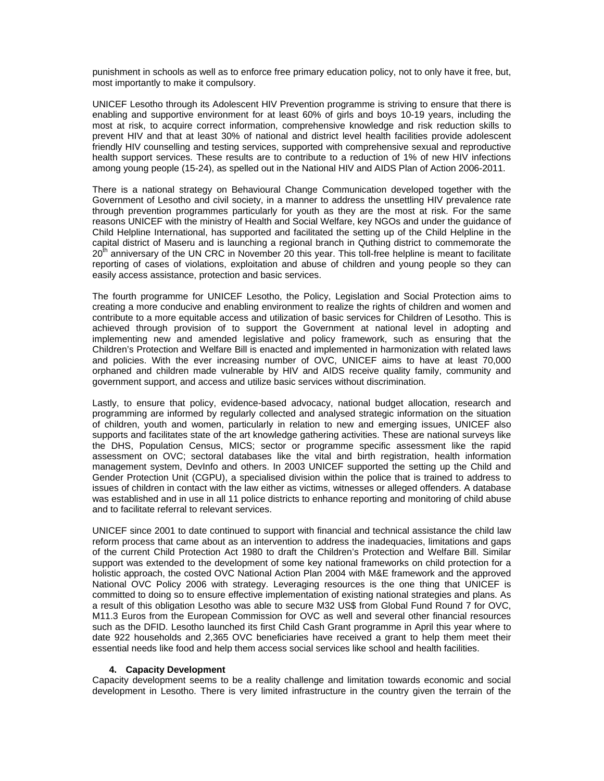punishment in schools as well as to enforce free primary education policy, not to only have it free, but, most importantly to make it compulsory.

UNICEF Lesotho through its Adolescent HIV Prevention programme is striving to ensure that there is enabling and supportive environment for at least 60% of girls and boys 10-19 years, including the most at risk, to acquire correct information, comprehensive knowledge and risk reduction skills to prevent HIV and that at least 30% of national and district level health facilities provide adolescent friendly HIV counselling and testing services, supported with comprehensive sexual and reproductive health support services. These results are to contribute to a reduction of 1% of new HIV infections among young people (15-24), as spelled out in the National HIV and AIDS Plan of Action 2006-2011.

There is a national strategy on Behavioural Change Communication developed together with the Government of Lesotho and civil society, in a manner to address the unsettling HIV prevalence rate through prevention programmes particularly for youth as they are the most at risk. For the same reasons UNICEF with the ministry of Health and Social Welfare, key NGOs and under the guidance of Child Helpline International, has supported and facilitated the setting up of the Child Helpline in the capital district of Maseru and is launching a regional branch in Quthing district to commemorate the  $20<sup>th</sup>$  anniversary of the UN CRC in November 20 this year. This toll-free helpline is meant to facilitate reporting of cases of violations, exploitation and abuse of children and young people so they can easily access assistance, protection and basic services.

The fourth programme for UNICEF Lesotho, the Policy, Legislation and Social Protection aims to creating a more conducive and enabling environment to realize the rights of children and women and contribute to a more equitable access and utilization of basic services for Children of Lesotho. This is achieved through provision of to support the Government at national level in adopting and implementing new and amended legislative and policy framework, such as ensuring that the Children's Protection and Welfare Bill is enacted and implemented in harmonization with related laws and policies. With the ever increasing number of OVC, UNICEF aims to have at least 70,000 orphaned and children made vulnerable by HIV and AIDS receive quality family, community and government support, and access and utilize basic services without discrimination.

Lastly, to ensure that policy, evidence-based advocacy, national budget allocation, research and programming are informed by regularly collected and analysed strategic information on the situation of children, youth and women, particularly in relation to new and emerging issues, UNICEF also supports and facilitates state of the art knowledge gathering activities. These are national surveys like the DHS, Population Census, MICS; sector or programme specific assessment like the rapid assessment on OVC; sectoral databases like the vital and birth registration, health information management system, DevInfo and others. In 2003 UNICEF supported the setting up the Child and Gender Protection Unit (CGPU), a specialised division within the police that is trained to address to issues of children in contact with the law either as victims, witnesses or alleged offenders. A database was established and in use in all 11 police districts to enhance reporting and monitoring of child abuse and to facilitate referral to relevant services.

UNICEF since 2001 to date continued to support with financial and technical assistance the child law reform process that came about as an intervention to address the inadequacies, limitations and gaps of the current Child Protection Act 1980 to draft the Children's Protection and Welfare Bill. Similar support was extended to the development of some key national frameworks on child protection for a holistic approach, the costed OVC National Action Plan 2004 with M&E framework and the approved National OVC Policy 2006 with strategy. Leveraging resources is the one thing that UNICEF is committed to doing so to ensure effective implementation of existing national strategies and plans. As a result of this obligation Lesotho was able to secure M32 US\$ from Global Fund Round 7 for OVC, M11.3 Euros from the European Commission for OVC as well and several other financial resources such as the DFID. Lesotho launched its first Child Cash Grant programme in April this year where to date 922 households and 2,365 OVC beneficiaries have received a grant to help them meet their essential needs like food and help them access social services like school and health facilities.

### **4. Capacity Development**

Capacity development seems to be a reality challenge and limitation towards economic and social development in Lesotho. There is very limited infrastructure in the country given the terrain of the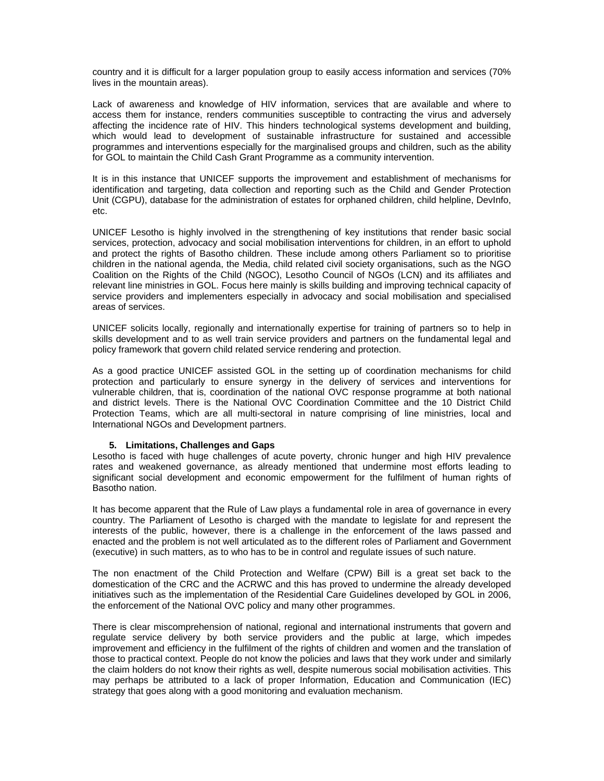country and it is difficult for a larger population group to easily access information and services (70% lives in the mountain areas).

Lack of awareness and knowledge of HIV information, services that are available and where to access them for instance, renders communities susceptible to contracting the virus and adversely affecting the incidence rate of HIV. This hinders technological systems development and building, which would lead to development of sustainable infrastructure for sustained and accessible programmes and interventions especially for the marginalised groups and children, such as the ability for GOL to maintain the Child Cash Grant Programme as a community intervention.

It is in this instance that UNICEF supports the improvement and establishment of mechanisms for identification and targeting, data collection and reporting such as the Child and Gender Protection Unit (CGPU), database for the administration of estates for orphaned children, child helpline, DevInfo, etc.

UNICEF Lesotho is highly involved in the strengthening of key institutions that render basic social services, protection, advocacy and social mobilisation interventions for children, in an effort to uphold and protect the rights of Basotho children. These include among others Parliament so to prioritise children in the national agenda, the Media, child related civil society organisations, such as the NGO Coalition on the Rights of the Child (NGOC), Lesotho Council of NGOs (LCN) and its affiliates and relevant line ministries in GOL. Focus here mainly is skills building and improving technical capacity of service providers and implementers especially in advocacy and social mobilisation and specialised areas of services.

UNICEF solicits locally, regionally and internationally expertise for training of partners so to help in skills development and to as well train service providers and partners on the fundamental legal and policy framework that govern child related service rendering and protection.

As a good practice UNICEF assisted GOL in the setting up of coordination mechanisms for child protection and particularly to ensure synergy in the delivery of services and interventions for vulnerable children, that is, coordination of the national OVC response programme at both national and district levels. There is the National OVC Coordination Committee and the 10 District Child Protection Teams, which are all multi-sectoral in nature comprising of line ministries, local and International NGOs and Development partners.

### **5. Limitations, Challenges and Gaps**

Lesotho is faced with huge challenges of acute poverty, chronic hunger and high HIV prevalence rates and weakened governance, as already mentioned that undermine most efforts leading to significant social development and economic empowerment for the fulfilment of human rights of Basotho nation.

It has become apparent that the Rule of Law plays a fundamental role in area of governance in every country. The Parliament of Lesotho is charged with the mandate to legislate for and represent the interests of the public, however, there is a challenge in the enforcement of the laws passed and enacted and the problem is not well articulated as to the different roles of Parliament and Government (executive) in such matters, as to who has to be in control and regulate issues of such nature.

The non enactment of the Child Protection and Welfare (CPW) Bill is a great set back to the domestication of the CRC and the ACRWC and this has proved to undermine the already developed initiatives such as the implementation of the Residential Care Guidelines developed by GOL in 2006, the enforcement of the National OVC policy and many other programmes.

There is clear miscomprehension of national, regional and international instruments that govern and regulate service delivery by both service providers and the public at large, which impedes improvement and efficiency in the fulfilment of the rights of children and women and the translation of those to practical context. People do not know the policies and laws that they work under and similarly the claim holders do not know their rights as well, despite numerous social mobilisation activities. This may perhaps be attributed to a lack of proper Information, Education and Communication (IEC) strategy that goes along with a good monitoring and evaluation mechanism.